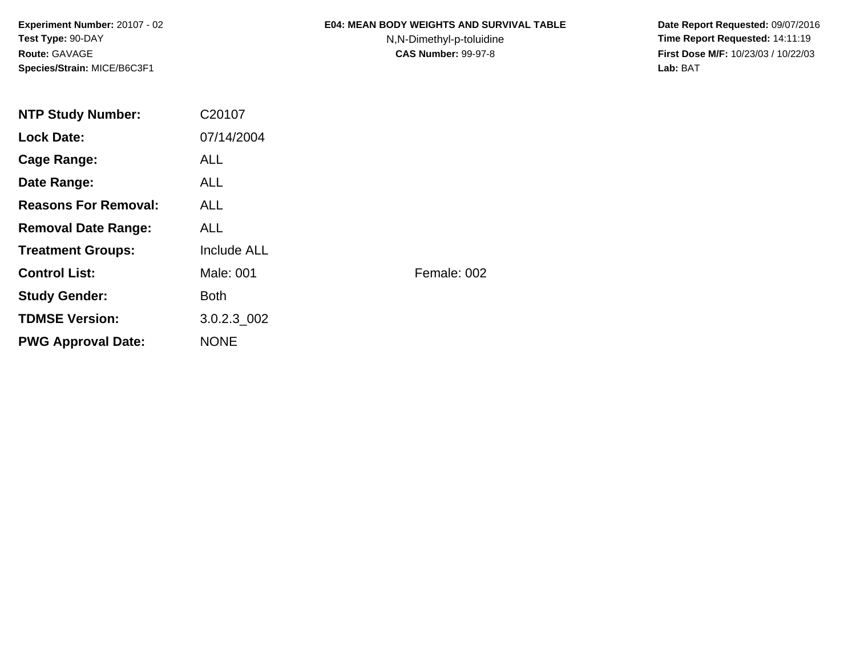**Experiment Number:** 20107 - 02**Test Type:** 90-DAY**Route:** GAVAGE**Species/Strain:** MICE/B6C3F1

### **E04: MEAN BODY WEIGHTS AND SURVIVAL TABLE**

N,N-Dimethyl-p-toluidine

 **Date Report Requested:** 09/07/2016 **Time Report Requested:** 14:11:19 **First Dose M/F:** 10/23/03 / 10/22/03<br>**Lab:** BAT **Lab:** BAT

| <b>NTP Study Number:</b>    | C20107             |             |
|-----------------------------|--------------------|-------------|
| <b>Lock Date:</b>           | 07/14/2004         |             |
| Cage Range:                 | <b>ALL</b>         |             |
| Date Range:                 | ALL.               |             |
| <b>Reasons For Removal:</b> | ALL.               |             |
| <b>Removal Date Range:</b>  | <b>ALL</b>         |             |
| <b>Treatment Groups:</b>    | <b>Include ALL</b> |             |
| <b>Control List:</b>        | Male: 001          | Female: 002 |
| <b>Study Gender:</b>        | <b>Both</b>        |             |
| <b>TDMSE Version:</b>       | 3.0.2.3 002        |             |
| <b>PWG Approval Date:</b>   | <b>NONE</b>        |             |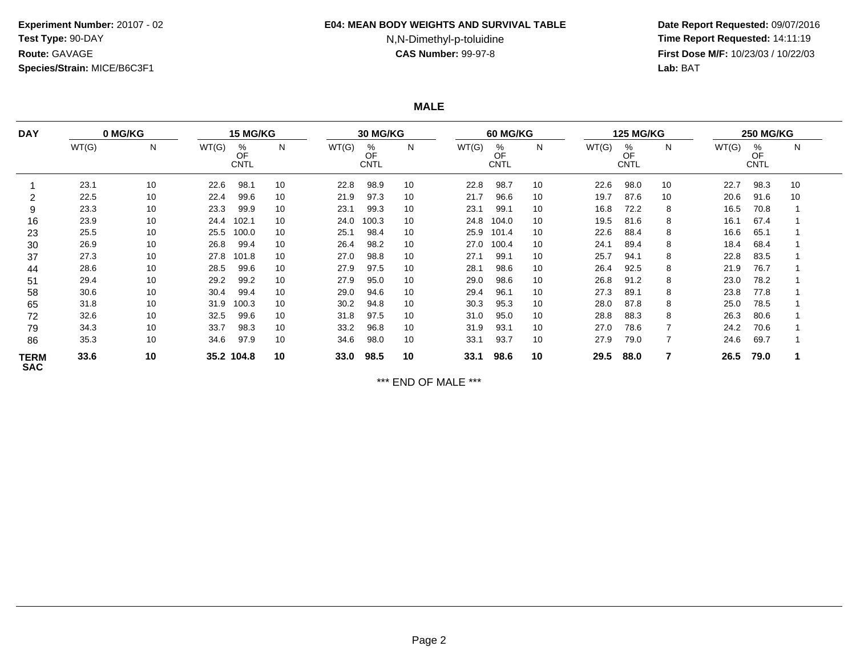## **Experiment Number:** 20107 - 02**Test Type:** 90-DAY**Route:** GAVAGE**Species/Strain:** MICE/B6C3F1

#### **E04: MEAN BODY WEIGHTS AND SURVIVAL TABLE**

# N,N-Dimethyl-p-toluidine

 **Date Report Requested:** 09/07/2016 **Time Report Requested:** 14:11:19 **First Dose M/F:** 10/23/03 / 10/22/03<br>**Lab:** BAT **Lab:** BAT

**MALE**

| <b>DAY</b>                | 0 MG/KG |    | <b>15 MG/KG</b> |                        |    | <b>30 MG/KG</b> |                        |    | 60 MG/KG |                        |    | <b>125 MG/KG</b> |                        |    | <b>250 MG/KG</b> |                        |    |
|---------------------------|---------|----|-----------------|------------------------|----|-----------------|------------------------|----|----------|------------------------|----|------------------|------------------------|----|------------------|------------------------|----|
|                           | WT(G)   | N  | WT(G)           | %<br>OF<br><b>CNTL</b> | N  | WT(G)           | %<br>OF<br><b>CNTL</b> | N  | WT(G)    | %<br>OF<br><b>CNTL</b> | N  | WT(G)            | %<br>OF<br><b>CNTL</b> | N  | WT(G)            | %<br>OF<br><b>CNTL</b> | N  |
|                           | 23.1    | 10 | 22.6            | 98.7                   | 10 | 22.8            | 98.9                   | 10 | 22.8     | 98.7                   | 10 | 22.6             | 98.0                   | 10 | 22.7             | 98.3                   | 10 |
|                           | 22.5    | 10 | 22.4            | 99.6                   | 10 | 21.9            | 97.3                   | 10 | 21.7     | 96.6                   | 10 | 19.7             | 87.6                   | 10 | 20.6             | 91.6                   | 10 |
| 9                         | 23.3    | 10 | 23.3            | 99.9                   | 10 | 23.1            | 99.3                   | 10 | 23.1     | 99.1                   | 10 | 16.8             | 72.2                   | 8  | 16.5             | 70.8                   |    |
| 16                        | 23.9    | 10 | 24.4            | 102.1                  | 10 | 24.0            | 100.3                  | 10 | 24.8     | 104.0                  | 10 | 19.5             | 81.6                   | 8  | 16.1             | 67.4                   |    |
| 23                        | 25.5    | 10 | 25.5            | 100.0                  | 10 | 25.1            | 98.4                   | 10 | 25.9     | 101.4                  | 10 | 22.6             | 88.4                   | 8  | 16.6             | 65.1                   |    |
| 30                        | 26.9    | 10 | 26.8            | 99.4                   | 10 | 26.4            | 98.2                   | 10 | 27.0     | 100.4                  | 10 | 24.1             | 89.4                   | 8  | 18.4             | 68.4                   |    |
| 37                        | 27.3    | 10 | 27.8            | 101.8                  | 10 | 27.0            | 98.8                   | 10 | 27.1     | 99.1                   | 10 | 25.7             | 94.1                   | 8  | 22.8             | 83.5                   |    |
| 44                        | 28.6    | 10 | 28.5            | 99.6                   | 10 | 27.9            | 97.5                   | 10 | 28.1     | 98.6                   | 10 | 26.4             | 92.5                   | 8  | 21.9             | 76.7                   |    |
| 51                        | 29.4    | 10 | 29.2            | 99.2                   | 10 | 27.9            | 95.0                   | 10 | 29.0     | 98.6                   | 10 | 26.8             | 91.2                   | 8  | 23.0             | 78.2                   |    |
| 58                        | 30.6    | 10 | 30.4            | 99.4                   | 10 | 29.0            | 94.6                   | 10 | 29.4     | 96.1                   | 10 | 27.3             | 89.1                   | 8  | 23.8             | 77.8                   |    |
| 65                        | 31.8    | 10 | 31.9            | 100.3                  | 10 | 30.2            | 94.8                   | 10 | 30.3     | 95.3                   | 10 | 28.0             | 87.8                   | 8  | 25.0             | 78.5                   |    |
| 72                        | 32.6    | 10 | 32.5            | 99.6                   | 10 | 31.8            | 97.5                   | 10 | 31.0     | 95.0                   | 10 | 28.8             | 88.3                   | 8  | 26.3             | 80.6                   |    |
| 79                        | 34.3    | 10 | 33.7            | 98.3                   | 10 | 33.2            | 96.8                   | 10 | 31.9     | 93.1                   | 10 | 27.0             | 78.6                   |    | 24.2             | 70.6                   |    |
| 86                        | 35.3    | 10 | 34.6            | 97.9                   | 10 | 34.6            | 98.0                   | 10 | 33.1     | 93.7                   | 10 | 27.9             | 79.0                   |    | 24.6             | 69.7                   |    |
| <b>TERM</b><br><b>SAC</b> | 33.6    | 10 |                 | 35.2 104.8             | 10 | 33.0            | 98.5                   | 10 | 33.1     | 98.6                   | 10 | 29.5             | 88.0                   |    | 26.5             | 79.0                   |    |

\*\*\* END OF MALE \*\*\*